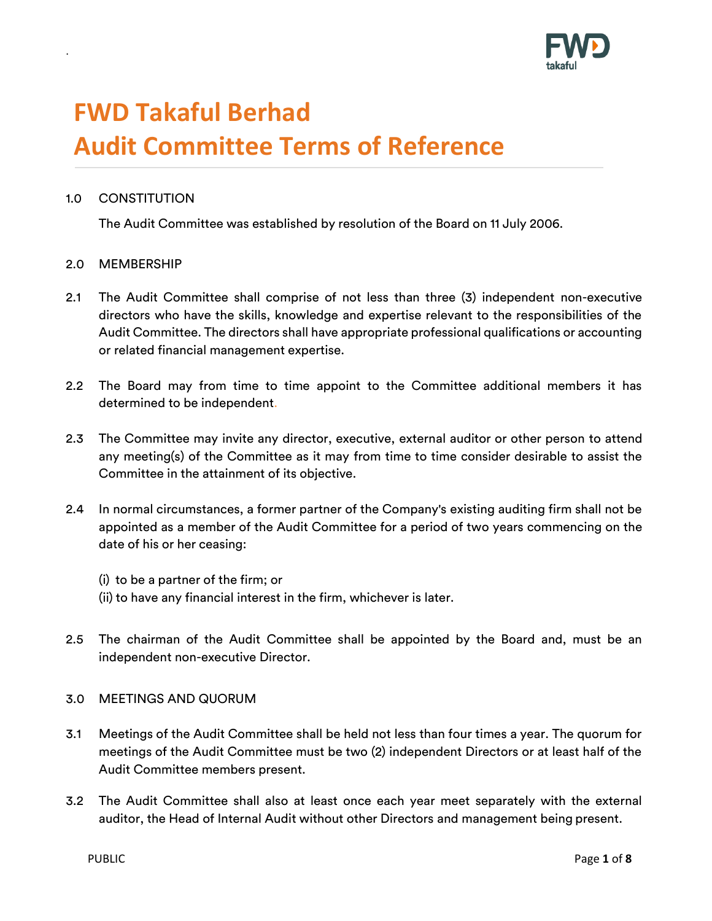

# **FWD Takaful Berhad Audit Committee Terms of Reference**

## 1.0 CONSTITUTION

.

The Audit Committee was established by resolution of the Board on 11 July 2006.

#### 2.0 MEMBERSHIP

- 2.1 The Audit Committee shall comprise of not less than three (3) independent non-executive directors who have the skills, knowledge and expertise relevant to the responsibilities of the Audit Committee. The directors shall have appropriate professional qualifications or accounting or related financial management expertise.
- 2.2 The Board may from time to time appoint to the Committee additional members it has determined to be independent.
- 2.3 The Committee may invite any director, executive, external auditor or other person to attend any meeting(s) of the Committee as it may from time to time consider desirable to assist the Committee in the attainment of its objective.
- 2.4 In normal circumstances, a former partner of the Company's existing auditing firm shall not be appointed as a member of the Audit Committee for a period of two years commencing on the date of his or her ceasing:
	- (i) to be a partner of the firm; or (ii) to have any financial interest in the firm, whichever is later.
- 2.5 The chairman of the Audit Committee shall be appointed by the Board and, must be an independent non-executive Director.

#### 3.0 MEETINGS AND QUORUM

- 3.1 Meetings of the Audit Committee shall be held not less than four times a year. The quorum for meetings of the Audit Committee must be two (2) independent Directors or at least half of the Audit Committee members present.
- 3.2 The Audit Committee shall also at least once each year meet separately with the external auditor, the Head of Internal Audit without other Directors and management being present.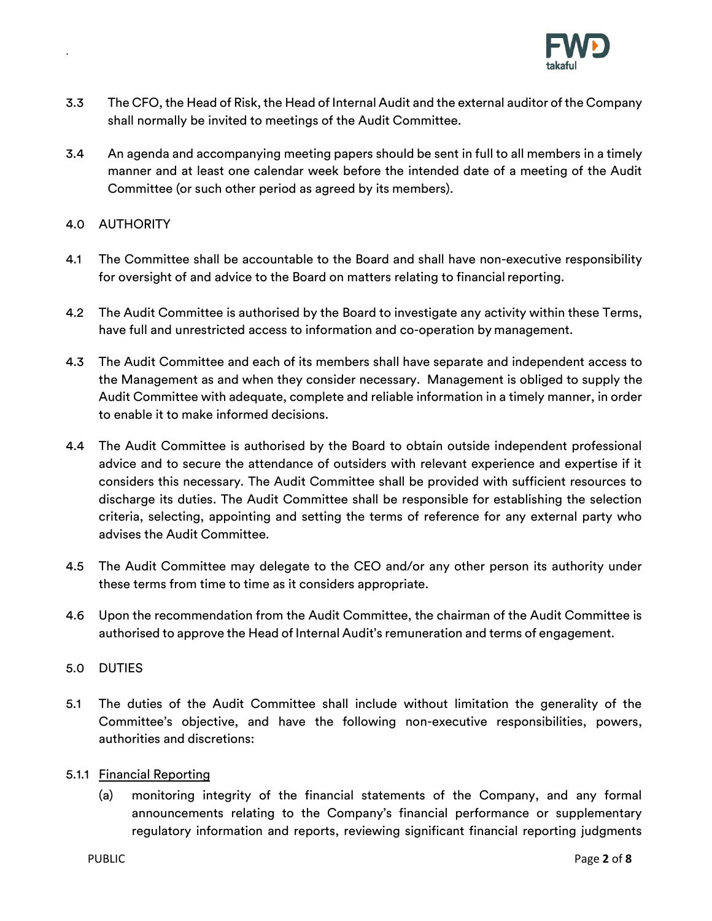

- 3.3 The CFO, the Head of Risk, the Head of Internal Audit and the external auditor of the Company shall normally be invited to meetings of the Audit Committee.
- 3.4 An agenda and accompanying meeting papers should be sent in full to all members in a timely manner and at least one calendar week before the intended date of a meeting of the Audit Committee (or such other period as agreed by its members).

## 4.0 AUTHORITY

.

- 4.1 The Committee shall be accountable to the Board and shall have non-executive responsibility for oversight of and advice to the Board on matters relating to financial reporting.
- 4.2 The Audit Committee is authorised by the Board to investigate any activity within these Terms, have full and unrestricted access to information and co-operation by management.
- 4.3 The Audit Committee and each of its members shall have separate and independent access to the Management as and when they consider necessary. Management is obliged to supply the Audit Committee with adequate, complete and reliable information in a timely manner, in order to enable it to make informed decisions.
- 4.4 The Audit Committee is authorised by the Board to obtain outside independent professional advice and to secure the attendance of outsiders with relevant experience and expertise if it considers this necessary. The Audit Committee shall be provided with sufficient resources to discharge its duties. The Audit Committee shall be responsible for establishing the selection criteria, selecting, appointing and setting the terms of reference for any external party who advises the Audit Committee.
- 4.5 The Audit Committee may delegate to the CEO and/or any other person its authority under these terms from time to time as it considers appropriate.
- 4.6 Upon the recommendation from the Audit Committee, the chairman of the Audit Committee is authorised to approve the Head of Internal Audit's remuneration and terms of engagement.

## 5.0 DUTIES

5.1 The duties of the Audit Committee shall include without limitation the generality of the Committee's objective, and have the following non-executive responsibilities, powers, authorities and discretions:

#### 5.1.1 Financial Reporting

(a) monitoring integrity of the financial statements of the Company, and any formal announcements relating to the Company's financial performance or supplementary regulatory information and reports, reviewing significant financial reporting judgments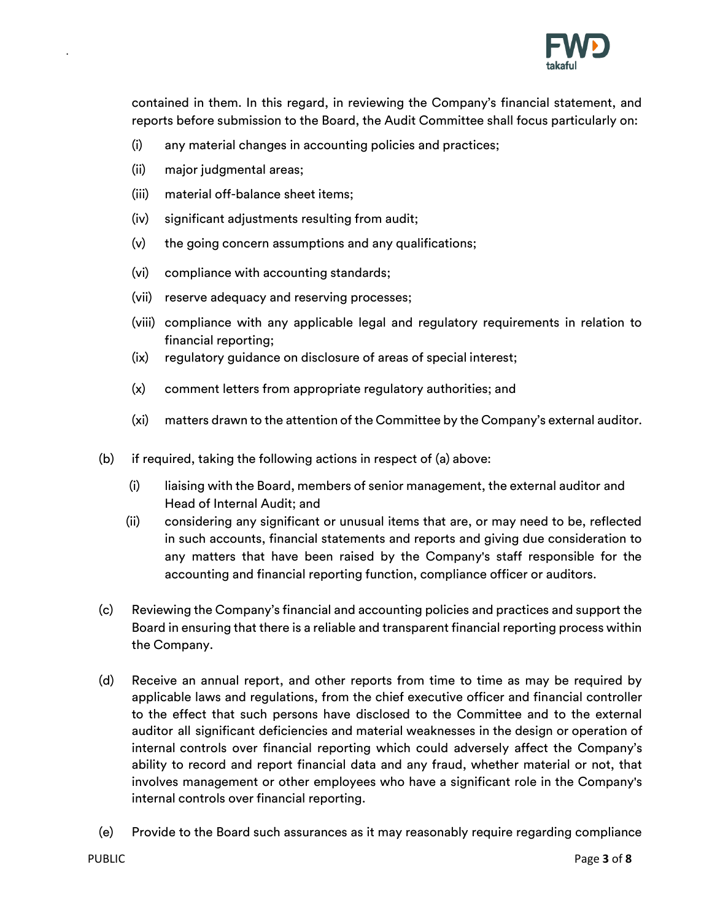

contained in them. In this regard, in reviewing the Company's financial statement, and reports before submission to the Board, the Audit Committee shall focus particularly on:

- (i) any material changes in accounting policies and practices;
- (ii) major judgmental areas;

- (iii) material off-balance sheet items;
- (iv) significant adjustments resulting from audit;
- (v) the going concern assumptions and any qualifications;
- (vi) compliance with accounting standards;
- (vii) reserve adequacy and reserving processes;
- (viii) compliance with any applicable legal and regulatory requirements in relation to financial reporting;
- (ix) regulatory guidance on disclosure of areas of special interest;
- (x) comment letters from appropriate regulatory authorities; and
- (xi) matters drawn to the attention of the Committee by the Company's external auditor.
- (b) if required, taking the following actions in respect of (a) above:
	- (i) liaising with the Board, members of senior management, the external auditor and Head of Internal Audit; and
	- (ii) considering any significant or unusual items that are, or may need to be, reflected in such accounts, financial statements and reports and giving due consideration to any matters that have been raised by the Company's staff responsible for the accounting and financial reporting function, compliance officer or auditors.
- (c) Reviewing the Company's financial and accounting policies and practices and support the Board in ensuring that there is a reliable and transparent financial reporting process within the Company.
- (d) Receive an annual report, and other reports from time to time as may be required by applicable laws and regulations, from the chief executive officer and financial controller to the effect that such persons have disclosed to the Committee and to the external auditor all significant deficiencies and material weaknesses in the design or operation of internal controls over financial reporting which could adversely affect the Company's ability to record and report financial data and any fraud, whether material or not, that involves management or other employees who have a significant role in the Company's internal controls over financial reporting.
- (e) Provide to the Board such assurances as it may reasonably require regarding compliance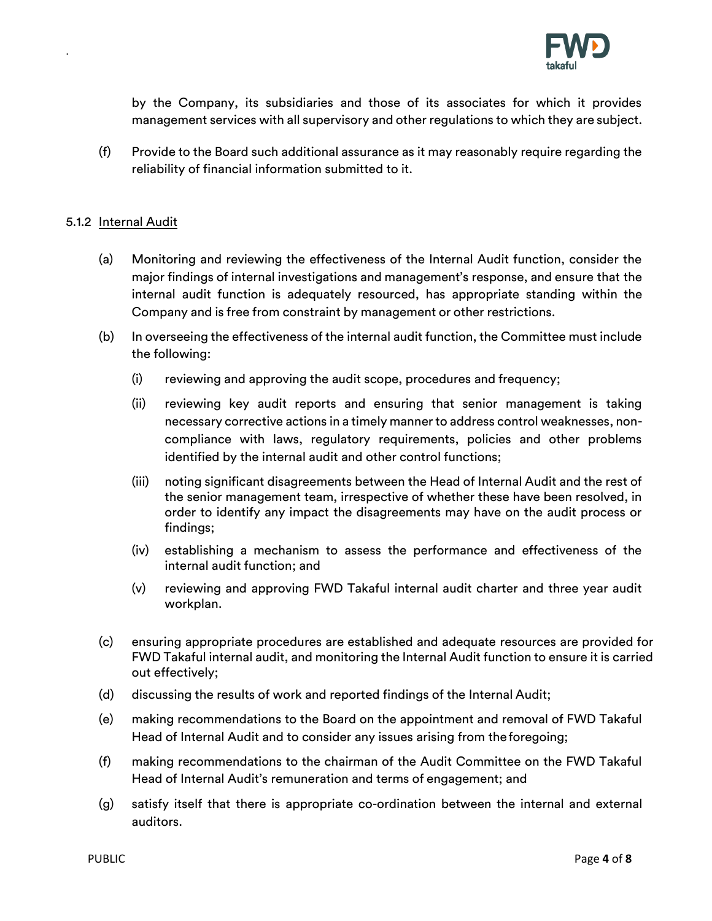

by the Company, its subsidiaries and those of its associates for which it provides management services with all supervisory and other regulations to which they are subject.

(f) Provide to the Board such additional assurance as it may reasonably require regarding the reliability of financial information submitted to it.

## 5.1.2 Internal Audit

- (a) Monitoring and reviewing the effectiveness of the Internal Audit function, consider the major findings of internal investigations and management's response, and ensure that the internal audit function is adequately resourced, has appropriate standing within the Company and is free from constraint by management or other restrictions.
- (b) In overseeing the effectiveness of the internal audit function, the Committee must include the following:
	- (i) reviewing and approving the audit scope, procedures and frequency;
	- (ii) reviewing key audit reports and ensuring that senior management is taking necessary corrective actions in a timely manner to address control weaknesses, noncompliance with laws, regulatory requirements, policies and other problems identified by the internal audit and other control functions;
	- (iii) noting significant disagreements between the Head of Internal Audit and the rest of the senior management team, irrespective of whether these have been resolved, in order to identify any impact the disagreements may have on the audit process or findings;
	- (iv) establishing a mechanism to assess the performance and effectiveness of the internal audit function; and
	- (v) reviewing and approving FWD Takaful internal audit charter and three year audit workplan.
- (c) ensuring appropriate procedures are established and adequate resources are provided for FWD Takaful internal audit, and monitoring the Internal Audit function to ensure it is carried out effectively;
- (d) discussing the results of work and reported findings of the Internal Audit;
- (e) making recommendations to the Board on the appointment and removal of FWD Takaful Head of Internal Audit and to consider any issues arising from theforegoing;
- (f) making recommendations to the chairman of the Audit Committee on the FWD Takaful Head of Internal Audit's remuneration and terms of engagement; and
- (g) satisfy itself that there is appropriate co-ordination between the internal and external auditors.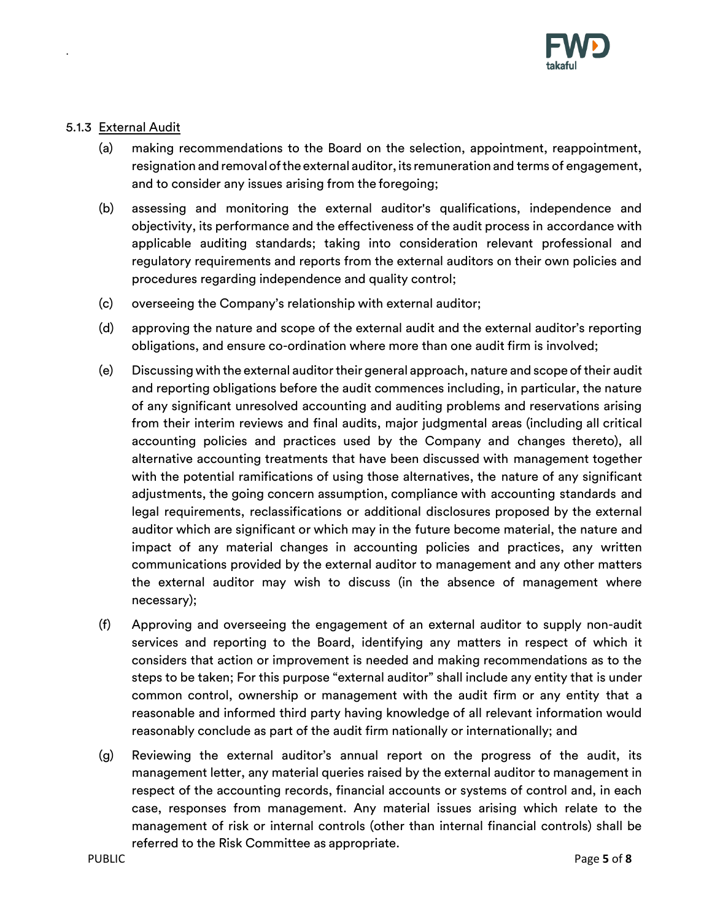

## 5.1.3 External Audit

- (a) making recommendations to the Board on the selection, appointment, reappointment, resignation and removal of the external auditor, its remuneration and terms of engagement, and to consider any issues arising from the foregoing;
- (b) assessing and monitoring the external auditor's qualifications, independence and objectivity, its performance and the effectiveness of the audit process in accordance with applicable auditing standards; taking into consideration relevant professional and regulatory requirements and reports from the external auditors on their own policies and procedures regarding independence and quality control;
- (c) overseeing the Company's relationship with external auditor;
- (d) approving the nature and scope of the external audit and the external auditor's reporting obligations, and ensure co-ordination where more than one audit firm is involved;
- (e) Discussing with the external auditortheir general approach, nature and scope of their audit and reporting obligations before the audit commences including, in particular, the nature of any significant unresolved accounting and auditing problems and reservations arising from their interim reviews and final audits, major judgmental areas (including all critical accounting policies and practices used by the Company and changes thereto), all alternative accounting treatments that have been discussed with management together with the potential ramifications of using those alternatives, the nature of any significant adjustments, the going concern assumption, compliance with accounting standards and legal requirements, reclassifications or additional disclosures proposed by the external auditor which are significant or which may in the future become material, the nature and impact of any material changes in accounting policies and practices, any written communications provided by the external auditor to management and any other matters the external auditor may wish to discuss (in the absence of management where necessary);
- (f) Approving and overseeing the engagement of an external auditor to supply non-audit services and reporting to the Board, identifying any matters in respect of which it considers that action or improvement is needed and making recommendations as to the steps to be taken; For this purpose "external auditor" shall include any entity that is under common control, ownership or management with the audit firm or any entity that a reasonable and informed third party having knowledge of all relevant information would reasonably conclude as part of the audit firm nationally or internationally; and
- (g) Reviewing the external auditor's annual report on the progress of the audit, its management letter, any material queries raised by the external auditor to management in respect of the accounting records, financial accounts or systems of control and, in each case, responses from management. Any material issues arising which relate to the management of risk or internal controls (other than internal financial controls) shall be referred to the Risk Committee as appropriate.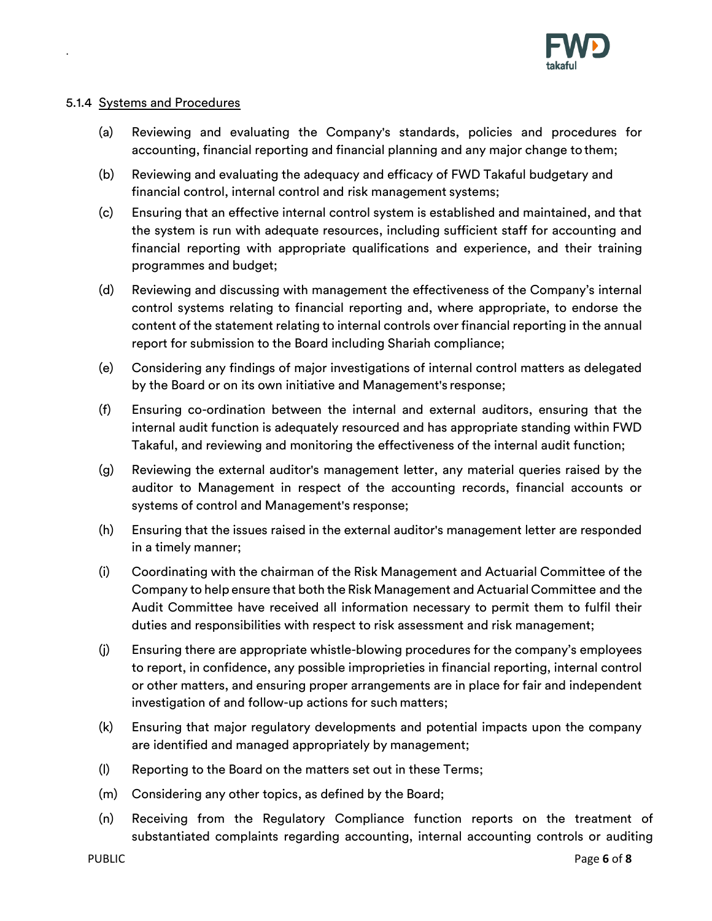

## 5.1.4 Systems and Procedures

- (a) Reviewing and evaluating the Company's standards, policies and procedures for accounting, financial reporting and financial planning and any major change tothem;
- (b) Reviewing and evaluating the adequacy and efficacy of FWD Takaful budgetary and financial control, internal control and risk management systems;
- (c) Ensuring that an effective internal control system is established and maintained, and that the system is run with adequate resources, including sufficient staff for accounting and financial reporting with appropriate qualifications and experience, and their training programmes and budget;
- (d) Reviewing and discussing with management the effectiveness of the Company's internal control systems relating to financial reporting and, where appropriate, to endorse the content of the statement relating to internal controls over financial reporting in the annual report for submission to the Board including Shariah compliance;
- (e) Considering any findings of major investigations of internal control matters as delegated by the Board or on its own initiative and Management's response;
- (f) Ensuring co-ordination between the internal and external auditors, ensuring that the internal audit function is adequately resourced and has appropriate standing within FWD Takaful, and reviewing and monitoring the effectiveness of the internal audit function;
- (g) Reviewing the external auditor's management letter, any material queries raised by the auditor to Management in respect of the accounting records, financial accounts or systems of control and Management's response;
- (h) Ensuring that the issues raised in the external auditor's management letter are responded in a timely manner;
- (i) Coordinating with the chairman of the Risk Management and Actuarial Committee of the Company to help ensure that both the Risk Management and Actuarial Committee and the Audit Committee have received all information necessary to permit them to fulfil their duties and responsibilities with respect to risk assessment and risk management;
- (j) Ensuring there are appropriate whistle-blowing procedures for the company's employees to report, in confidence, any possible improprieties in financial reporting, internal control or other matters, and ensuring proper arrangements are in place for fair and independent investigation of and follow-up actions for such matters;
- (k) Ensuring that major regulatory developments and potential impacts upon the company are identified and managed appropriately by management;
- (l) Reporting to the Board on the matters set out in these Terms;
- (m) Considering any other topics, as defined by the Board;
- (n) Receiving from the Regulatory Compliance function reports on the treatment of substantiated complaints regarding accounting, internal accounting controls or auditing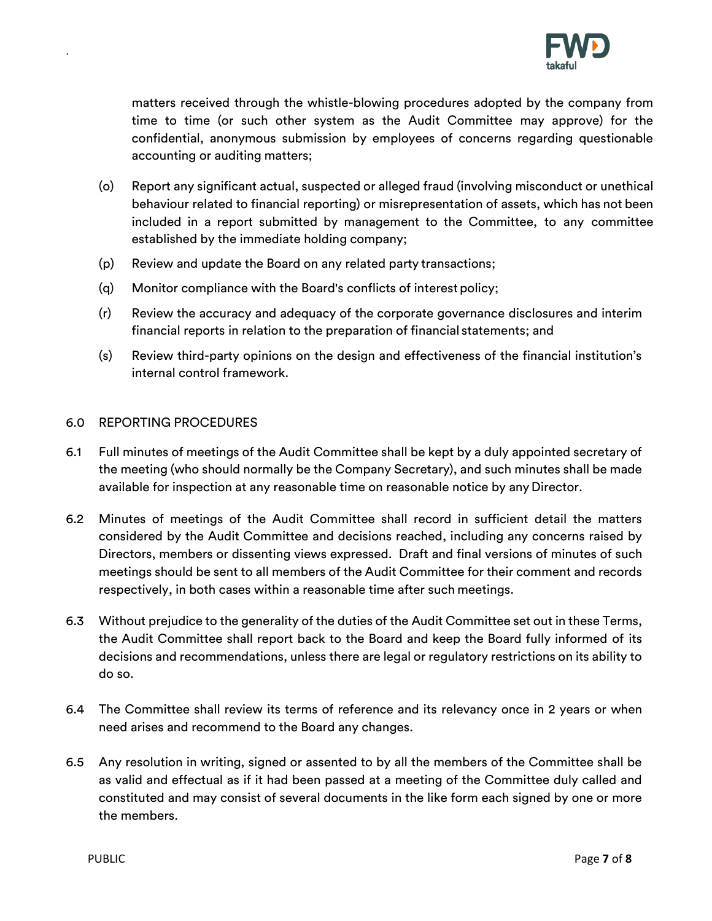

matters received through the whistle-blowing procedures adopted by the company from time to time (or such other system as the Audit Committee may approve) for the confidential, anonymous submission by employees of concerns regarding questionable accounting or auditing matters;

- (o) Report any significant actual, suspected or alleged fraud (involving misconduct or unethical behaviour related to financial reporting) or misrepresentation of assets, which has not been included in a report submitted by management to the Committee, to any committee established by the immediate holding company;
- (p) Review and update the Board on any related party transactions;
- (q) Monitor compliance with the Board's conflicts of interest policy;
- (r) Review the accuracy and adequacy of the corporate governance disclosures and interim financial reports in relation to the preparation of financial statements; and
- (s) Review third-party opinions on the design and effectiveness of the financial institution's internal control framework.

## 6.0 REPORTING PROCEDURES

- 6.1 Full minutes of meetings of the Audit Committee shall be kept by a duly appointed secretary of the meeting (who should normally be the Company Secretary), and such minutes shall be made available for inspection at any reasonable time on reasonable notice by any Director.
- 6.2 Minutes of meetings of the Audit Committee shall record in sufficient detail the matters considered by the Audit Committee and decisions reached, including any concerns raised by Directors, members or dissenting views expressed. Draft and final versions of minutes of such meetings should be sent to all members of the Audit Committee for their comment and records respectively, in both cases within a reasonable time after such meetings.
- 6.3 Without prejudice to the generality of the duties of the Audit Committee set out in these Terms, the Audit Committee shall report back to the Board and keep the Board fully informed of its decisions and recommendations, unless there are legal or regulatory restrictions on its ability to do so.
- 6.4 The Committee shall review its terms of reference and its relevancy once in 2 years or when need arises and recommend to the Board any changes.
- 6.5 Any resolution in writing, signed or assented to by all the members of the Committee shall be as valid and effectual as if it had been passed at a meeting of the Committee duly called and constituted and may consist of several documents in the like form each signed by one or more the members.